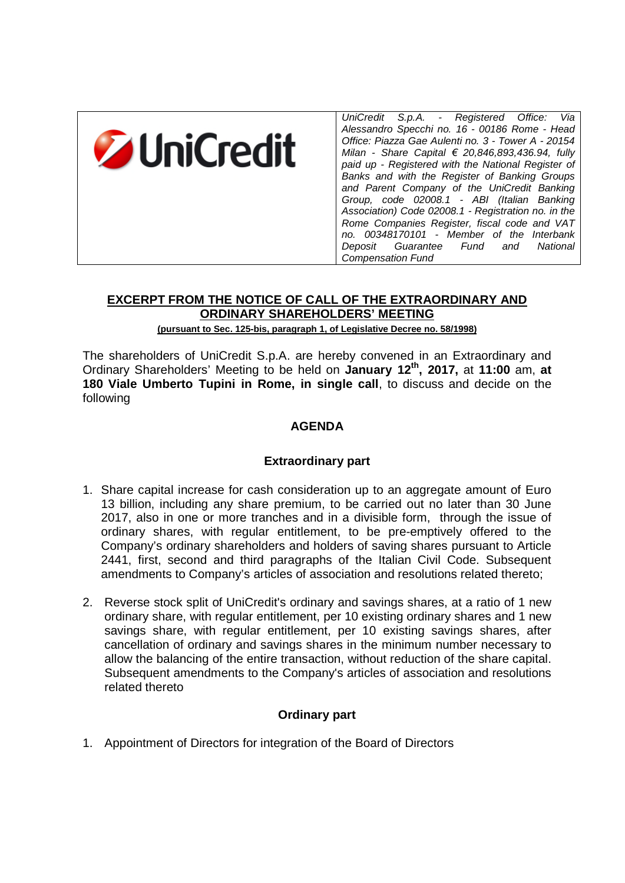

# **EXCERPT FROM THE NOTICE OF CALL OF THE EXTRAORDINARY AND ORDINARY SHAREHOLDERS' MEETING**

#### **(pursuant to Sec. 125-bis, paragraph 1, of Legislative Decree no. 58/1998)**

The shareholders of UniCredit S.p.A. are hereby convened in an Extraordinary and Ordinary Shareholders' Meeting to be held on **January 12th, 2017,** at **11:00** am, **at 180 Viale Umberto Tupini in Rome, in single call**, to discuss and decide on the following

### **AGENDA**

#### **Extraordinary part**

- 1. Share capital increase for cash consideration up to an aggregate amount of Euro 13 billion, including any share premium, to be carried out no later than 30 June 2017, also in one or more tranches and in a divisible form, through the issue of ordinary shares, with regular entitlement, to be pre-emptively offered to the Company's ordinary shareholders and holders of saving shares pursuant to Article 2441, first, second and third paragraphs of the Italian Civil Code. Subsequent amendments to Company's articles of association and resolutions related thereto;
- 2. Reverse stock split of UniCredit's ordinary and savings shares, at a ratio of 1 new ordinary share, with regular entitlement, per 10 existing ordinary shares and 1 new savings share, with regular entitlement, per 10 existing savings shares, after cancellation of ordinary and savings shares in the minimum number necessary to allow the balancing of the entire transaction, without reduction of the share capital. Subsequent amendments to the Company's articles of association and resolutions related thereto

## **Ordinary part**

1. Appointment of Directors for integration of the Board of Directors